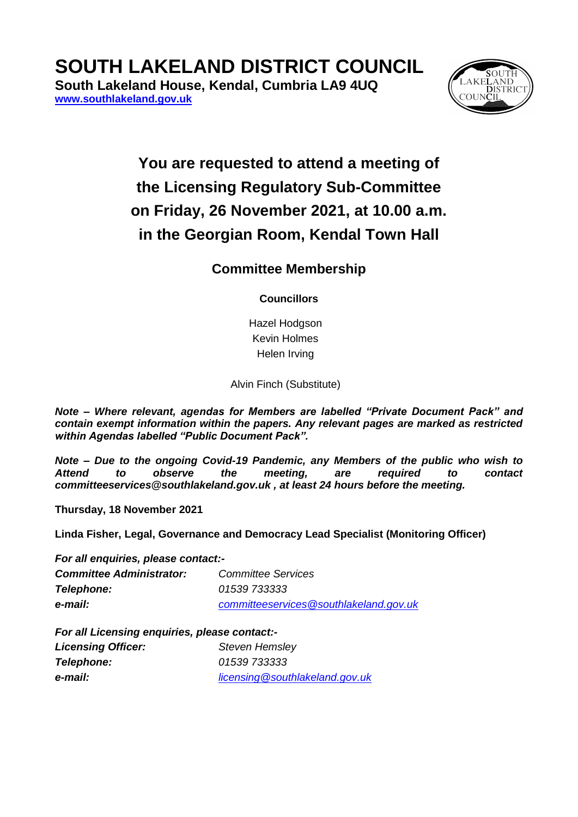# **SOUTH LAKELAND DISTRICT COUNCIL**

**South Lakeland House, Kendal, Cumbria LA9 4UQ [www.southlakeland.gov.uk](http://www.southlakeland.gov.uk/)**



## **You are requested to attend a meeting of the Licensing Regulatory Sub-Committee on Friday, 26 November 2021, at 10.00 a.m. in the Georgian Room, Kendal Town Hall**

### **Committee Membership**

#### **Councillors**

Hazel Hodgson Kevin Holmes Helen Irving

Alvin Finch (Substitute)

*Note – Where relevant, agendas for Members are labelled "Private Document Pack" and contain exempt information within the papers. Any relevant pages are marked as restricted within Agendas labelled "Public Document Pack".*

*Note – Due to the ongoing Covid-19 Pandemic, any Members of the public who wish to Attend to observe the meeting, are required to contact committeeservices@southlakeland.gov.uk , at least 24 hours before the meeting.*

**Thursday, 18 November 2021**

**Linda Fisher, Legal, Governance and Democracy Lead Specialist (Monitoring Officer)**

*For all enquiries, please contact:-*

| <b>Committee Administrator:</b> | <b>Committee Services</b>              |
|---------------------------------|----------------------------------------|
| <b>Telephone:</b>               | <i>01539 733333</i>                    |
| e-mail:                         | committeeservices@southlakeland.gov.uk |

*For all Licensing enquiries, please contact:-*

| <b>Licensing Officer:</b> | <b>Steven Hemsley</b>          |
|---------------------------|--------------------------------|
| Telephone:                | 01539 733333                   |
| e-mail:                   | licensing@southlakeland.gov.uk |